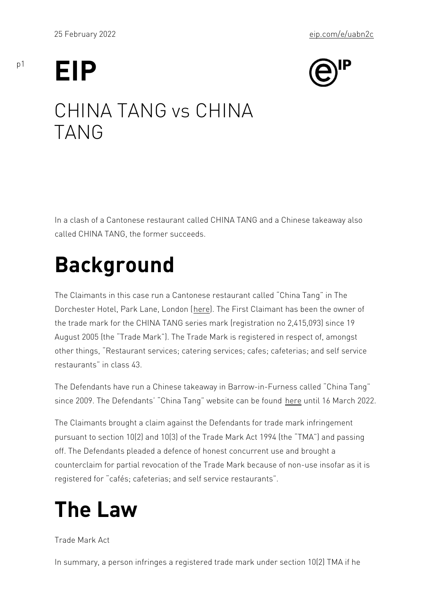# EIP

p1

### CHINA TANG vs CHINA TANG

In a clash of a Cantonese restaurant called CHINA TANG and a Chi called CHINA TANG, the former succeeds.

## Background

The Claimants in this case run a Cantonese restaurant called Chin Dorchester Hotel, Park Langue, Theon Fromst Claimant has been the owne the trade mark for the CHINA TANG series mark (registration no 2, August 2005 (the Trad[e M](https://www.chinatanglondon.co.uk/)ark ). The Trade Mark is registered in re other things, Restaurant services; catering services; cafes; cafete restaurants in class 43.

The Defendants have run a Chinese takeaway in Barrow-in-Furness since 2009. The Defendants China Tanhoer websithe 6 CMaarbb 2002.n2d

The Claimants brought a claim against the Defendants for trade ma pursuant to section  $10(2)$  and  $10(3)$  of [the](https://www.chinatangbarrow.co.uk/) Trade Mark Act 1994 (th off. The Defendants pleaded a defence of honest concurrent use an counterclaim for partial revocation of the Trade Mark because of no registered for cafés; cafeterias; and self service restaurants .

### The Law

Trade Mark Act

In summary, a person infringes a registered trade mark under secti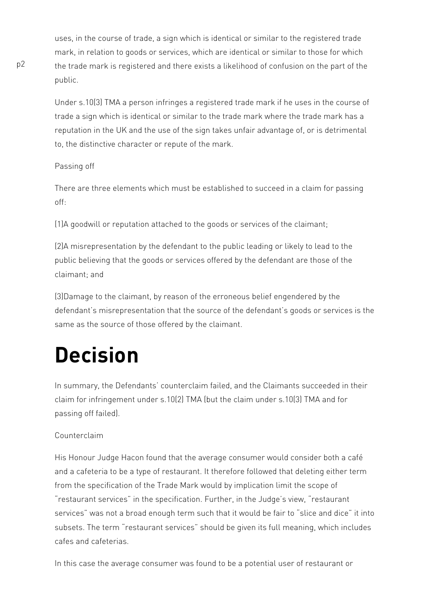uses, in the course of trade, a sign which is identical or similar to the registered trade mark, in relation to goods or services, which are identical or similar to those for which the trade mark is registered and there exists a likelihood of confusion on the part of the public.

Under s.10(3) TMA a person infringes a registered trade mark if he uses in the course of trade a sign which is identical or similar to the trade mark where the trade mark has a reputation in the UK and the use of the sign takes unfair advantage of, or is detrimental to, the distinctive character or repute of the mark.

#### Passing off

There are three elements which must be established to succeed in a claim for passing off:

(1)A goodwill or reputation attached to the goods or services of the claimant;

(2)A misrepresentation by the defendant to the public leading or likely to lead to the public believing that the goods or services offered by the defendant are those of the claimant; and

(3)Damage to the claimant, by reason of the erroneous belief engendered by the defendant's misrepresentation that the source of the defendant's goods or services is the same as the source of those offered by the claimant.

## **Decision**

In summary, the Defendants' counterclaim failed, and the Claimants succeeded in their claim for infringement under s.10(2) TMA (but the claim under s.10(3) TMA and for passing off failed).

#### Counterclaim

His Honour Judge Hacon found that the average consumer would consider both a café and a cafeteria to be a type of restaurant. It therefore followed that deleting either term from the specification of the Trade Mark would by implication limit the scope of "restaurant services" in the specification. Further, in the Judge's view, "restaurant services" was not a broad enough term such that it would be fair to "slice and dice" it into subsets. The term "restaurant services" should be given its full meaning, which includes cafes and cafeterias.

In this case the average consumer was found to be a potential user of restaurant or